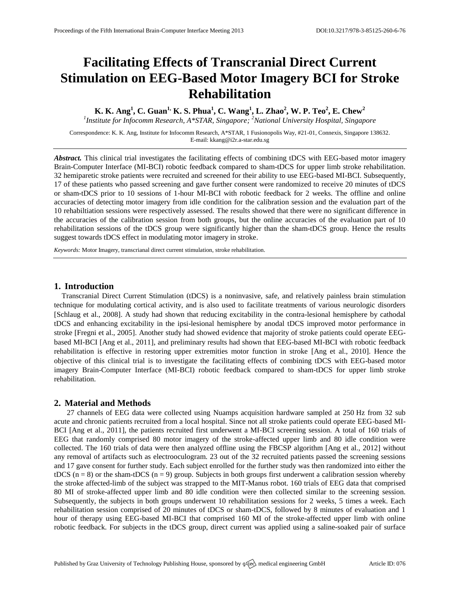# **Facilitating Effects of Transcranial Direct Current Stimulation on EEG-Based Motor Imagery BCI for Stroke Rehabilitation**

K. K. Ang<sup>1</sup>, C. Guan<sup>1,</sup> K. S. Phua<sup>1</sup>, C. Wang<sup>1</sup>, L. Zhao<sup>2</sup>, W. P. Teo<sup>2</sup>, E. Chew<sup>2</sup> *1 Institute for Infocomm Research, A\*STAR, Singapore; <sup>2</sup>National University Hospital, Singapore*

Correspondence: K. K. Ang, Institute for Infocomm Research, A\*STAR, 1 Fusionopolis Way, #21-01, Connexis, Singapore 138632. E-mail: [kkang@i2r.a-star.edu.sg](mailto:kkang@i2r.a-star.edu.sg)

*Abstract.* This clinical trial investigates the facilitating effects of combining tDCS with EEG-based motor imagery Brain-Computer Interface (MI-BCI) robotic feedback compared to sham-tDCS for upper limb stroke rehabilitation. 32 hemiparetic stroke patients were recruited and screened for their ability to use EEG-based MI-BCI. Subsequently, 17 of these patients who passed screening and gave further consent were randomized to receive 20 minutes of tDCS or sham-tDCS prior to 10 sessions of 1-hour MI-BCI with robotic feedback for 2 weeks. The offline and online accuracies of detecting motor imagery from idle condition for the calibration session and the evaluation part of the 10 rehabiltiation sessions were respectively assessed. The results showed that there were no significant difference in the accuracies of the calibration session from both groups, but the online accuracies of the evaluation part of 10 rehabilitation sessions of the tDCS group were significantly higher than the sham-tDCS group. Hence the results suggest towards tDCS effect in modulating motor imagery in stroke.

*Keywords:* Motor Imagery, transcrianal direct current stimulation, stroke rehabilitation.

## **1. Introduction**

Transcranial Direct Current Stimulation (tDCS) is a noninvasive, safe, and relatively painless brain stimulation technique for modulating cortical activity, and is also used to facilitate treatments of various neurologic disorders [\[Schlaug et al., 2008\]](#page-1-0). A study had shown that reducing excitability in the contra-lesional hemisphere by cathodal tDCS and enhancing excitability in the ipsi-lesional hemisphere by anodal tDCS improved motor performance in stroke [\[Fregni et al., 2005\]](#page-1-1). Another study had showed evidence that majority of stroke patients could operate EEGbased MI-BCI [\[Ang et al., 2011\]](#page-1-2), and preliminary results had shown that EEG-based MI-BCI with robotic feedback rehabilitation is effective in restoring upper extremities motor function in stroke [\[Ang et al., 2010\]](#page-1-3). Hence the objective of this clinical trial is to investigate the facilitating effects of combining tDCS with EEG-based motor imagery Brain-Computer Interface (MI-BCI) robotic feedback compared to sham-tDCS for upper limb stroke rehabilitation.

#### **2. Material and Methods**

27 channels of EEG data were collected using Nuamps acquisition hardware sampled at 250 Hz from 32 sub acute and chronic patients recruited from a local hospital. Since not all stroke patients could operate EEG-based MI-BCI [\[Ang et al., 2011\]](#page-1-2), the patients recruited first underwent a MI-BCI screening session. A total of 160 trials of EEG that randomly comprised 80 motor imagery of the stroke-affected upper limb and 80 idle condition were collected. The 160 trials of data were then analyzed offline using the FBCSP algorithm [\[Ang et al., 2012\]](#page-1-4) without any removal of artifacts such as electrooculogram. 23 out of the 32 recruited patients passed the screening sessions and 17 gave consent for further study. Each subject enrolled for the further study was then randomized into either the tDCS ( $n = 8$ ) or the sham-tDCS ( $n = 9$ ) group. Subjects in both groups first underwent a calibration session whereby the stroke affected-limb of the subject was strapped to the MIT-Manus robot. 160 trials of EEG data that comprised 80 MI of stroke-affected upper limb and 80 idle condition were then collected similar to the screening session. Subsequently, the subjects in both groups underwent 10 rehabilitation sessions for 2 weeks, 5 times a week. Each rehabilitation session comprised of 20 minutes of tDCS or sham-tDCS, followed by 8 minutes of evaluation and 1 hour of therapy using EEG-based MI-BCI that comprised 160 MI of the stroke-affected upper limb with online robotic feedback. For subjects in the tDCS group, direct current was applied using a saline-soaked pair of surface